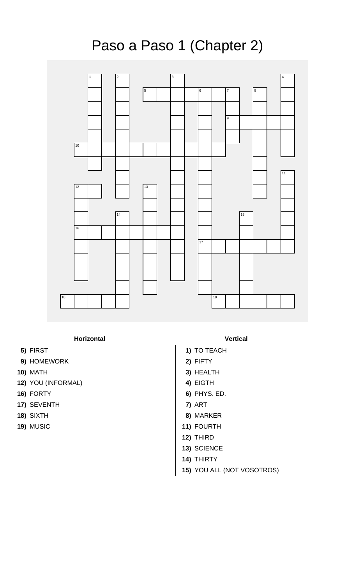## Paso a Paso 1 (Chapter 2)



## **Horizontal Vertical**

- 
- **9)** HOMEWORK **2)** FIFTY
- 
- **12)** YOU (INFORMAL) **4)** EIGTH
- 
- **17)** SEVENTH **7)** ART
- 
- 

- **5)** FIRST **1)** TO TEACH
	-
- **10)** MATH **3)** HEALTH
	-
- **16)** FORTY **6)** PHYS. ED.
	-
- **18)** SIXTH **8)** MARKER
- **19)** MUSIC **11)** FOURTH
	- **12)** THIRD
	- **13)** SCIENCE
	- **14)** THIRTY
	- **15)** YOU ALL (NOT VOSOTROS)